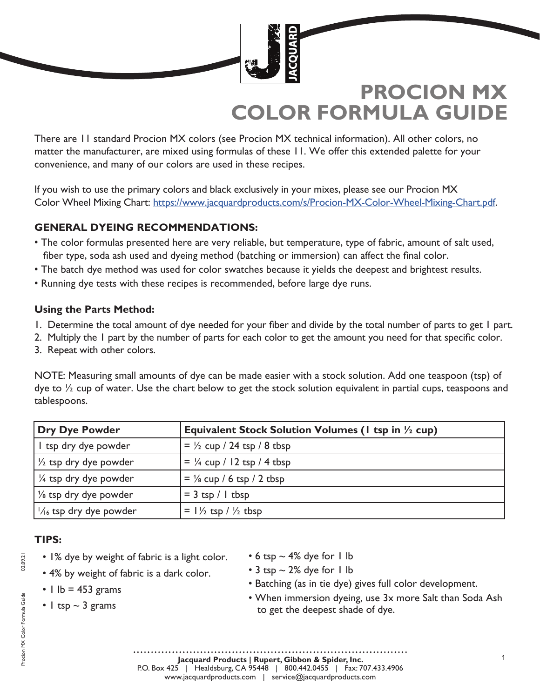

There are 11 standard Procion MX colors (see Procion MX technical information). All other colors, no matter the manufacturer, are mixed using formulas of these 11. We offer this extended palette for your convenience, and many of our colors are used in these recipes.

If you wish to use the primary colors and black exclusively in your mixes, please see our Procion MX Color Wheel Mixing Chart: https://www.jacquardproducts.com/s/Procion-MX-Color-Wheel-Mixing-Chart.pdf.

## **GENERAL DYEING RECOMMENDATIONS:**

- The color formulas presented here are very reliable, but temperature, type of fabric, amount of salt used, fiber type, soda ash used and dyeing method (batching or immersion) can affect the final color.
- The batch dye method was used for color swatches because it yields the deepest and brightest results.
- Running dye tests with these recipes is recommended, before large dye runs.

## **Using the Parts Method:**

- 1. Determine the total amount of dye needed for your fiber and divide by the total number of parts to get 1 part.
- 2. Multiply the 1 part by the number of parts for each color to get the amount you need for that specific color.
- 3. Repeat with other colors.

NOTE: Measuring small amounts of dye can be made easier with a stock solution. Add one teaspoon (tsp) of dye to  $\frac{1}{2}$  cup of water. Use the chart below to get the stock solution equivalent in partial cups, teaspoons and tablespoons.

| <b>Dry Dye Powder</b>            | Equivalent Stock Solution Volumes (1 tsp in 1/2 cup) |
|----------------------------------|------------------------------------------------------|
| I tsp dry dye powder             | $=$ $\frac{1}{2}$ cup / 24 tsp / 8 tbsp              |
| $\frac{1}{2}$ tsp dry dye powder | $=$ $\frac{1}{4}$ cup / 12 tsp / 4 tbsp              |
| 1/4 tsp dry dye powder           | $=$ $\frac{1}{8}$ cup / 6 tsp / 2 tbsp               |
| $\frac{1}{8}$ tsp dry dye powder | $=$ 3 tsp / 1 tbsp                                   |
| $1/16$ tsp dry dye powder        | $= 1\frac{1}{2}$ tsp / $\frac{1}{2}$ tbsp            |

## **TIPS:**

- 1% dye by weight of fabric is a light color.
- 4% by weight of fabric is a dark color.
- $\cdot$  1 lb = 453 grams
- 1 tsp  $\sim$  3 grams
- 6 tsp  $\sim$  4% dye for 1 lb
- $\cdot$  3 tsp  $\sim$  2% dye for 1 lb
- Batching (as in tie dye) gives full color development.
- When immersion dyeing, use 3x more Salt than Soda Ash to get the deepest shade of dye.

02.09.21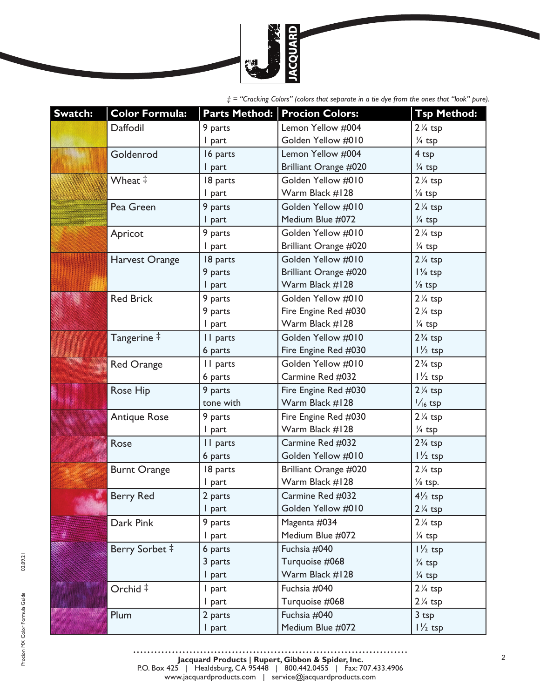

| Swatch: | <b>Color Formula:</b> |           | Parts Method: Procion Colors: | <b>Tsp Method:</b> |
|---------|-----------------------|-----------|-------------------------------|--------------------|
|         | Daffodil              | 9 parts   | Lemon Yellow #004             | $2\frac{1}{4}$ tsp |
|         |                       | I part    | Golden Yellow #010            | 1/4 tsp            |
|         | Goldenrod             | 16 parts  | Lemon Yellow #004             | 4 <sub>tsp</sub>   |
|         |                       | I part    | Brilliant Orange #020         | $\frac{1}{4}$ tsp  |
|         | Wheat ‡               | 18 parts  | Golden Yellow #010            | $2\frac{1}{4}$ tsp |
|         |                       | I part    | Warm Black #128               | $\frac{1}{8}$ tsp  |
|         | Pea Green             | 9 parts   | Golden Yellow #010            | $2\frac{1}{4}$ tsp |
|         |                       | I part    | Medium Blue #072              | $\frac{1}{4}$ tsp  |
|         | Apricot               | 9 parts   | Golden Yellow #010            | $2\frac{1}{4}$ tsp |
|         |                       | I part    | Brilliant Orange #020         | $\frac{1}{4}$ tsp  |
|         | Harvest Orange        | 18 parts  | Golden Yellow #010            | $2\frac{1}{4}$ tsp |
|         |                       | 9 parts   | Brilliant Orange #020         | $1\frac{1}{8}$ tsp |
|         |                       | I part    | Warm Black #128               | $\frac{1}{8}$ tsp  |
|         | <b>Red Brick</b>      | 9 parts   | Golden Yellow #010            | $2\frac{1}{4}$ tsp |
|         |                       | 9 parts   | Fire Engine Red #030          | $2\frac{1}{4}$ tsp |
|         |                       | I part    | Warm Black #128               | 1/4 tsp            |
|         | Tangerine ‡           | II parts  | Golden Yellow #010            | $2\frac{3}{4}$ tsp |
|         |                       | 6 parts   | Fire Engine Red #030          | $1\frac{1}{2}$ tsp |
|         | <b>Red Orange</b>     | II parts  | Golden Yellow #010            | $2\frac{3}{4}$ tsp |
|         |                       | 6 parts   | Carmine Red #032              | $1\frac{1}{2}$ tsp |
| 199999  | Rose Hip              | 9 parts   | Fire Engine Red #030          | $2\frac{1}{4}$ tsp |
| 1       |                       | tone with | Warm Black #128               | $\frac{1}{16}$ tsp |
| 編制      | <b>Antique Rose</b>   | 9 parts   | Fire Engine Red #030          | $2\frac{1}{4}$ tsp |
|         |                       | I part    | Warm Black #128               | $\frac{1}{4}$ tsp  |
|         | Rose                  | II parts  | Carmine Red #032              | $2\frac{3}{4}$ tsp |
|         |                       | 6 parts   | Golden Yellow #010            | $1\frac{1}{2}$ tsp |
|         | <b>Burnt Orange</b>   | 18 parts  | Brilliant Orange #020         | $2\frac{1}{4}$ tsp |
|         |                       | I part    | Warm Black #128               | $\frac{1}{8}$ tsp. |
|         | <b>Berry Red</b>      | 2 parts   | Carmine Red #032              | $4\frac{1}{2}$ tsp |
|         |                       | I part    | Golden Yellow #010            | $2\frac{1}{4}$ tsp |
|         | Dark Pink             | 9 parts   | Magenta #034                  | $2\frac{1}{4}$ tsp |
|         |                       | I part    | Medium Blue #072              | 1/4 tsp            |
|         | Berry Sorbet #        | 6 parts   | Fuchsia #040                  | $1\frac{1}{2}$ tsp |
|         |                       | 3 parts   | Turquoise #068                | $\frac{3}{4}$ tsp  |
|         |                       | I part    | Warm Black #128               | $\frac{1}{4}$ tsp  |
|         | Orchid ‡              | I part    | Fuchsia #040                  | $2\frac{1}{4}$ tsp |
|         |                       | I part    | Turquoise #068                | $2\frac{1}{4}$ tsp |
|         | Plum                  | 2 parts   | Fuchsia #040                  | 3 <sub>tsp</sub>   |
|         |                       | I part    | Medium Blue #072              | $1\frac{1}{2}$ tsp |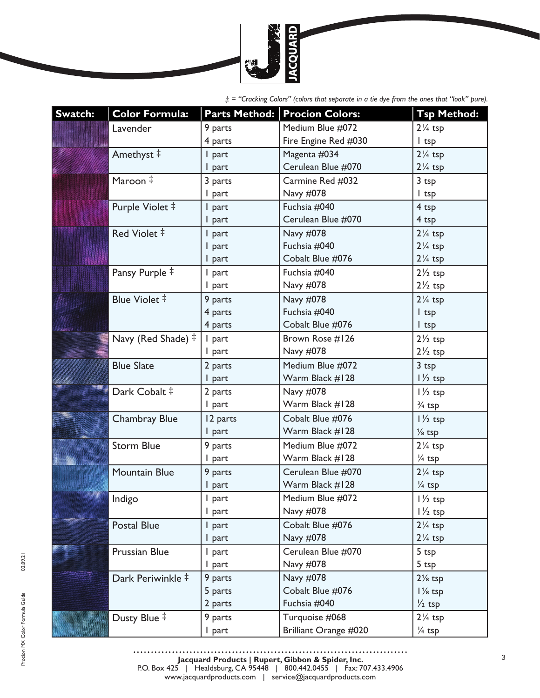

| Swatch:  | <b>Color Formula:</b> |          | Parts Method: Procion Colors: | <b>Tsp Method:</b> |
|----------|-----------------------|----------|-------------------------------|--------------------|
|          | Lavender              | 9 parts  | Medium Blue #072              | $2\frac{1}{4}$ tsp |
|          |                       | 4 parts  | Fire Engine Red #030          | I tsp              |
|          | Amethyst ‡            | I part   | Magenta #034                  | $2\frac{1}{4}$ tsp |
|          |                       | I part   | Cerulean Blue #070            | $2\frac{1}{4}$ tsp |
|          | Maroon #              | 3 parts  | Carmine Red #032              | $3$ tsp            |
|          |                       | I part   | Navy #078                     | $l$ tsp            |
|          | Purple Violet #       | I part   | Fuchsia #040                  | 4 tsp              |
|          |                       | I part   | Cerulean Blue #070            | 4 tsp              |
|          | Red Violet #          | I part   | Navy #078                     | $2\frac{1}{4}$ tsp |
|          |                       | I part   | Fuchsia #040                  | $2\frac{1}{4}$ tsp |
|          |                       | I part   | Cobalt Blue #076              | $2\frac{1}{4}$ tsp |
|          | Pansy Purple ‡        | I part   | Fuchsia #040                  | $2\frac{1}{2}$ tsp |
|          |                       | I part   | Navy #078                     | $2\frac{1}{2}$ tsp |
|          | Blue Violet #         | 9 parts  | Navy #078                     | $2\frac{1}{4}$ tsp |
|          |                       | 4 parts  | Fuchsia #040                  | $l$ tsp            |
| iskaka . |                       | 4 parts  | Cobalt Blue #076              | $l$ tsp            |
|          | Navy (Red Shade) ‡    | I part   | Brown Rose #126               | $2\frac{1}{2}$ tsp |
|          |                       | I part   | Navy #078                     | $2\frac{1}{2}$ tsp |
|          | <b>Blue Slate</b>     | 2 parts  | Medium Blue #072              | 3 tsp              |
|          |                       | I part   | Warm Black #128               | $1\frac{1}{2}$ tsp |
|          | Dark Cobalt #         | 2 parts  | Navy #078                     | $1\frac{1}{2}$ tsp |
|          |                       | I part   | Warm Black #128               | $\frac{3}{4}$ tsp  |
|          | <b>Chambray Blue</b>  | 12 parts | Cobalt Blue #076              | $1\frac{1}{2}$ tsp |
|          |                       | I part   | Warm Black #128               | $\frac{1}{8}$ tsp  |
|          | <b>Storm Blue</b>     | 9 parts  | Medium Blue #072              | $2\frac{1}{4}$ tsp |
|          |                       | I part   | Warm Black #128               | $\frac{1}{4}$ tsp  |
|          | <b>Mountain Blue</b>  | 9 parts  | Cerulean Blue #070            | $2\frac{1}{4}$ tsp |
|          |                       | I part   | Warm Black #128               | 1/4 tsp            |
|          | Indigo                | part     | Medium Blue #072              | $1\frac{1}{2}$ tsp |
|          |                       | I part   | Navy #078                     | $1\frac{1}{2}$ tsp |
|          | Postal Blue           | I part   | Cobalt Blue #076              | $2\frac{1}{4}$ tsp |
|          |                       | I part   | Navy #078                     | $2\frac{1}{4}$ tsp |
|          | <b>Prussian Blue</b>  | I part   | Cerulean Blue #070            | 5 tsp              |
|          |                       | I part   | Navy #078                     | 5 <sub>top</sub>   |
|          | Dark Periwinkle #     | 9 parts  | Navy #078                     | $2\frac{1}{8}$ tsp |
|          |                       | 5 parts  | Cobalt Blue #076              | $1\frac{1}{8}$ tsp |
|          |                       | 2 parts  | Fuchsia #040                  | $\frac{1}{2}$ tsp  |
|          | Dusty Blue ‡          | 9 parts  | Turquoise #068                | $2\frac{1}{4}$ tsp |
|          |                       | I part   | Brilliant Orange #020         | 1/4 tsp            |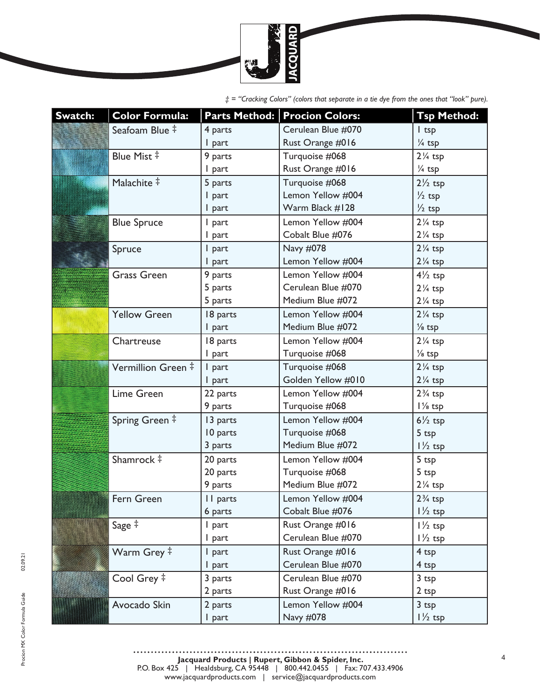

| Swatch:               | <b>Color Formula:</b> |          | Parts Method: Procion Colors: | <b>Tsp Method:</b> |
|-----------------------|-----------------------|----------|-------------------------------|--------------------|
|                       | Seafoam Blue ‡        | 4 parts  | Cerulean Blue #070            | $l$ tsp            |
|                       |                       | I part   | Rust Orange #016              | $\frac{1}{4}$ tsp  |
|                       | Blue Mist #           | 9 parts  | Turquoise #068                | $2\frac{1}{4}$ tsp |
|                       |                       | I part   | Rust Orange #016              | $\frac{1}{4}$ tsp  |
|                       | Malachite #           | 5 parts  | Turquoise #068                | $2\frac{1}{2}$ tsp |
|                       |                       | I part   | Lemon Yellow #004             | $\frac{1}{2}$ tsp  |
|                       |                       | I part   | Warm Black #128               | $\frac{1}{2}$ tsp  |
|                       | <b>Blue Spruce</b>    | I part   | Lemon Yellow #004             | $2\frac{1}{4}$ tsp |
|                       |                       | I part   | Cobalt Blue #076              | $2\frac{1}{4}$ tsp |
|                       | Spruce                | I part   | Navy #078                     | $2\frac{1}{4}$ tsp |
|                       |                       | I part   | Lemon Yellow #004             | $2\frac{1}{4}$ tsp |
|                       | <b>Grass Green</b>    | 9 parts  | Lemon Yellow #004             | $4\frac{1}{2}$ tsp |
|                       |                       | 5 parts  | Cerulean Blue #070            | $2\frac{1}{4}$ tsp |
|                       |                       | 5 parts  | Medium Blue #072              | $2\frac{1}{4}$ tsp |
|                       | <b>Yellow Green</b>   | 18 parts | Lemon Yellow #004             | $2\frac{1}{4}$ tsp |
|                       |                       | I part   | Medium Blue #072              | $\frac{1}{8}$ tsp  |
|                       | Chartreuse            | 18 parts | Lemon Yellow #004             | $2\frac{1}{4}$ tsp |
|                       |                       | I part   | Turquoise #068                | $\frac{1}{8}$ tsp  |
|                       | Vermillion Green #    | I part   | Turquoise #068                | $2\frac{1}{4}$ tsp |
|                       |                       | I part   | Golden Yellow #010            | $2\frac{1}{4}$ tsp |
|                       | Lime Green            | 22 parts | Lemon Yellow #004             | $2\frac{3}{4}$ tsp |
|                       |                       | 9 parts  | Turquoise #068                | l 1/8 tsp          |
|                       | Spring Green #        | 13 parts | Lemon Yellow #004             | $6\frac{1}{2}$ tsp |
|                       |                       | 10 parts | Turquoise #068                | 5 tsp              |
|                       |                       | 3 parts  | Medium Blue #072              | $1\frac{1}{2}$ tsp |
|                       | Shamrock #            | 20 parts | Lemon Yellow #004             | 5 tsp              |
|                       |                       | 20 parts | Turquoise #068                | 5 <sub>top</sub>   |
|                       |                       | 9 parts  | Medium Blue #072              | $2\frac{1}{4}$ tsp |
| <b>BARBARA BARBAY</b> | Fern Green            | II parts | Lemon Yellow #004             | $2\frac{3}{4}$ tsp |
|                       |                       | 6 parts  | Cobalt Blue #076              | $1\frac{1}{2}$ tsp |
|                       | Sage ‡                | I part   | Rust Orange #016              | $1\frac{1}{2}$ tsp |
|                       |                       | I part   | Cerulean Blue #070            | $1\frac{1}{2}$ tsp |
|                       | Warm Grey ‡           | I part   | Rust Orange #016              | 4 tsp              |
|                       |                       | I part   | Cerulean Blue #070            | 4 tsp              |
|                       | Cool Grey ‡           | 3 parts  | Cerulean Blue #070            | 3 <sub>tsp</sub>   |
|                       |                       | 2 parts  | Rust Orange #016              | 2 tsp              |
|                       | Avocado Skin          | 2 parts  | Lemon Yellow #004             | 3 <sub>tsp</sub>   |
|                       |                       | I part   | Navy #078                     | $1\frac{1}{2}$ tsp |